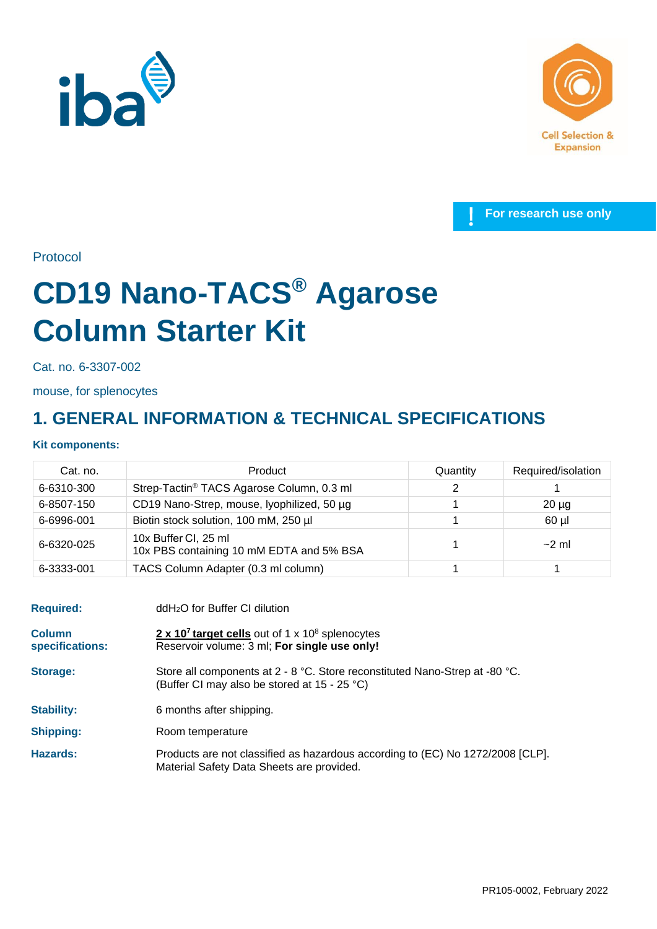





Protocol

# **CD19 Nano-TACS® Agarose Column Starter Kit**

Cat. no. 6-3307-002

mouse, for splenocytes

## **1. GENERAL INFORMATION & TECHNICAL SPECIFICATIONS**

### **Kit components:**

| Cat. no.   | Product                                                          | Quantity | Required/isolation |
|------------|------------------------------------------------------------------|----------|--------------------|
| 6-6310-300 | Strep-Tactin <sup>®</sup> TACS Agarose Column, 0.3 ml            | ົ        |                    |
| 6-8507-150 | CD19 Nano-Strep, mouse, lyophilized, 50 µg                       |          | $20 \mu g$         |
| 6-6996-001 | Biotin stock solution, 100 mM, 250 µl                            |          | $60$ µl            |
| 6-6320-025 | 10x Buffer CI, 25 ml<br>10x PBS containing 10 mM EDTA and 5% BSA |          | $\sim$ 2 ml        |
| 6-3333-001 | TACS Column Adapter (0.3 ml column)                              |          |                    |

| <b>Required:</b>                 | ddH <sub>2</sub> O for Buffer CI dilution                                                                                     |  |
|----------------------------------|-------------------------------------------------------------------------------------------------------------------------------|--|
| <b>Column</b><br>specifications: | 2 x 10 <sup>7</sup> target cells out of 1 x 10 <sup>8</sup> splenocytes<br>Reservoir volume: 3 ml; For single use only!       |  |
| <b>Storage:</b>                  | Store all components at $2 - 8$ °C. Store reconstituted Nano-Strep at -80 °C.<br>(Buffer CI may also be stored at 15 - 25 °C) |  |
| <b>Stability:</b>                | 6 months after shipping.                                                                                                      |  |
| <b>Shipping:</b>                 | Room temperature                                                                                                              |  |
| Hazards:                         | Products are not classified as hazardous according to (EC) No 1272/2008 [CLP].<br>Material Safety Data Sheets are provided.   |  |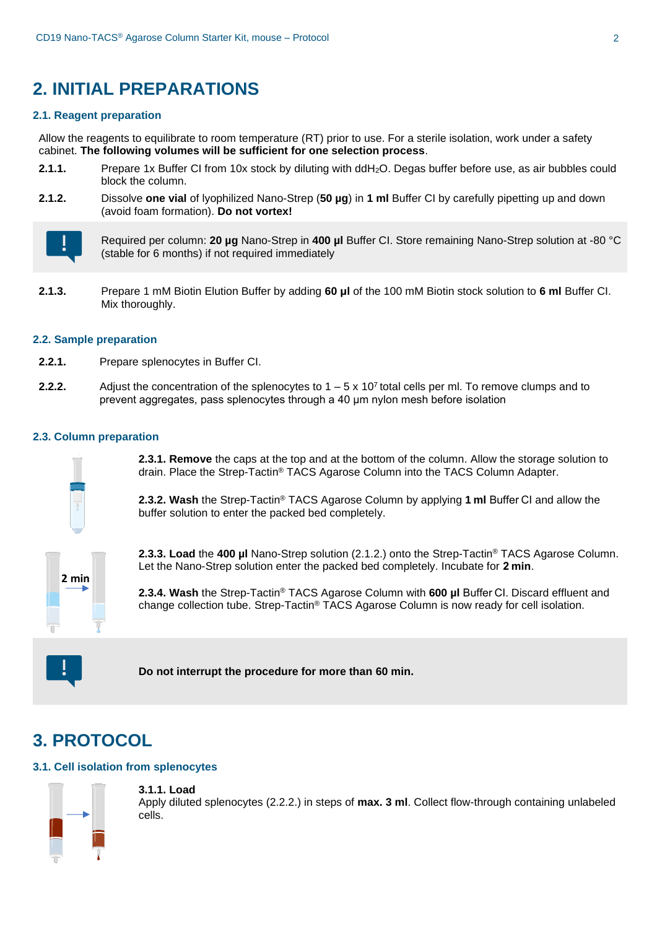## **2. INITIAL PREPARATIONS**

#### **2.1. Reagent preparation**

Allow the reagents to equilibrate to room temperature (RT) prior to use. For a sterile isolation, work under a safety cabinet. **The following volumes will be sufficient for one selection process**.

- **2.1.1.** Prepare 1x Buffer CI from 10x stock by diluting with ddH2O. Degas buffer before use, as air bubbles could block the column.
- **2.1.2.** Dissolve **one vial** of lyophilized Nano-Strep (**50 µg**) in **1 ml** Buffer CI by carefully pipetting up and down (avoid foam formation). **Do not vortex!**



Required per column: **20 µg** Nano-Strep in **400 µl** Buffer CI. Store remaining Nano-Strep solution at -80 °C (stable for 6 months) if not required immediately

**2.1.3.** Prepare 1 mM Biotin Elution Buffer by adding **60 μl** of the 100 mM Biotin stock solution to **6 ml** Buffer CI. Mix thoroughly.

#### **2.2. Sample preparation**

- **2.2.1.** Prepare splenocytes in Buffer CI.
- **2.2.2.** Adjust the concentration of the splenocytes to  $1 5 \times 10^7$  total cells per ml. To remove clumps and to prevent aggregates, pass splenocytes through a 40 μm nylon mesh before isolation

#### **2.3. Column preparation**



**2.3.1. Remove** the caps at the top and at the bottom of the column. Allow the storage solution to drain. Place the Strep-Tactin® TACS Agarose Column into the TACS Column Adapter.

**2.3.2. Wash** the Strep-Tactin® TACS Agarose Column by applying **1 ml** Buffer CI and allow the buffer solution to enter the packed bed completely.

**2.3.3. Load** the **400 µl** Nano-Strep solution (2.1.2.) onto the Strep-Tactin® TACS Agarose Column. Let the Nano-Strep solution enter the packed bed completely. Incubate for **2 min**.

**2.3.4. Wash** the Strep-Tactin® TACS Agarose Column with **600 µl** Buffer CI. Discard effluent and change collection tube. Strep-Tactin® TACS Agarose Column is now ready for cell isolation.



**Do not interrupt the procedure for more than 60 min.**

## **3. PROTOCOL**

#### **3.1. Cell isolation from splenocytes**



**3.1.1. Load** 

Apply diluted splenocytes (2.2.2.) in steps of **max. 3 ml**. Collect flow-through containing unlabeled cells.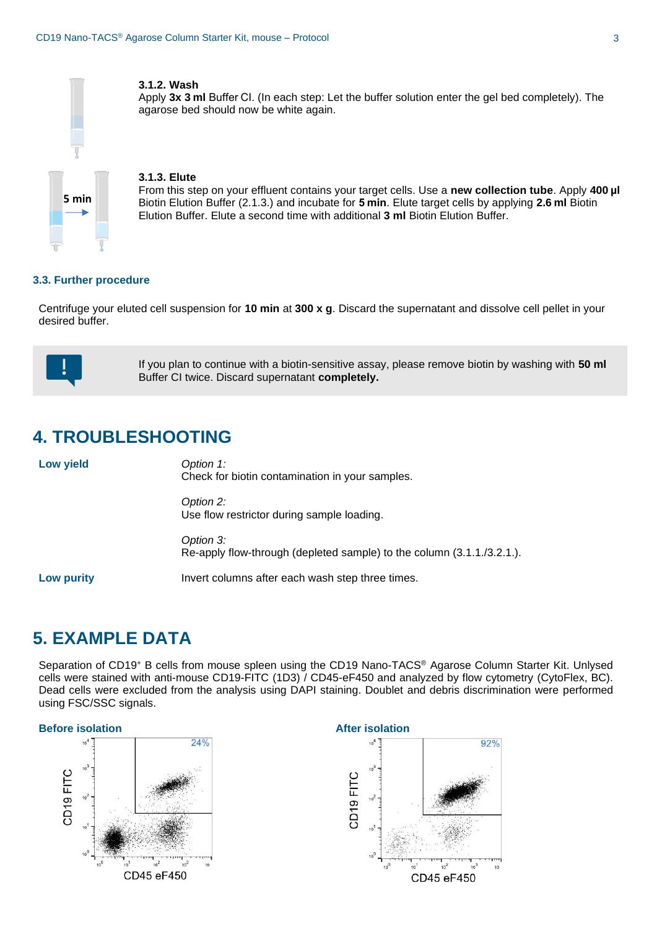

#### **3.1.2. Wash**

Apply **3x 3 ml** Buffer CI. (In each step: Let the buffer solution enter the gel bed completely). The agarose bed should now be white again.

#### **3.1.3. Elute**

From this step on your effluent contains your target cells. Use a **new collection tube**. Apply **400 µl**  Biotin Elution Buffer (2.1.3.) and incubate for **5 min**. Elute target cells by applying **2.6 ml** Biotin Elution Buffer. Elute a second time with additional **3 ml** Biotin Elution Buffer.

#### **3.3. Further procedure**

Centrifuge your eluted cell suspension for **10 min** at **300 x g**. Discard the supernatant and dissolve cell pellet in your desired buffer.



If you plan to continue with a biotin-sensitive assay, please remove biotin by washing with **50 ml** Buffer CI twice. Discard supernatant **completely.**

## **4. TROUBLESHOOTING**

| Low yield         | Option 1:<br>Check for biotin contamination in your samples.                        |  |
|-------------------|-------------------------------------------------------------------------------------|--|
|                   | Option 2:<br>Use flow restrictor during sample loading.                             |  |
|                   | Option 3:<br>Re-apply flow-through (depleted sample) to the column (3.1.1./3.2.1.). |  |
| <b>Low purity</b> | Invert columns after each wash step three times.                                    |  |

## **5. EXAMPLE DATA**

Separation of CD19<sup>+</sup> B cells from mouse spleen using the CD19 Nano-TACS® Agarose Column Starter Kit. Unlysed cells were stained with anti-mouse CD19-FITC (1D3) / CD45-eF450 and analyzed by flow cytometry (CytoFlex, BC). Dead cells were excluded from the analysis using DAPI staining. Doublet and debris discrimination were performed using FSC/SSC signals.

#### **Before isolation After** *After* **After** *After After After After*